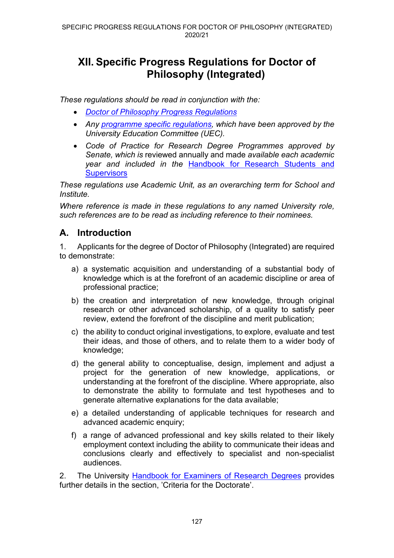# **XII. Specific Progress Regulations for Doctor of Philosophy (Integrated)**

*These regulations should be read in conjunction with the:*

- *[Doctor of Philosophy Progress Regulations](https://www.ncl.ac.uk/regulations/docs/)*
- *Any [programme specific regulations,](https://www.ncl.ac.uk/regulations/programmeregsandspec/) which have been approved by the University Education Committee (UEC).*
- *Code of Practice for Research Degree Programmes approved by Senate, which is* reviewed annually and made *available each academic year and included in the* [Handbook for Research Students and](https://www.ncl.ac.uk/student-progress/pgr/publications/)  **[Supervisors](https://www.ncl.ac.uk/student-progress/pgr/publications/)**

*These regulations use Academic Unit, as an overarching term for School and Institute.*

*Where reference is made in these regulations to any named University role, such references are to be read as including reference to their nominees.*

#### **A. Introduction**

1. Applicants for the degree of Doctor of Philosophy (Integrated) are required to demonstrate:

- a) a systematic acquisition and understanding of a substantial body of knowledge which is at the forefront of an academic discipline or area of professional practice;
- b) the creation and interpretation of new knowledge, through original research or other advanced scholarship, of a quality to satisfy peer review, extend the forefront of the discipline and merit publication;
- c) the ability to conduct original investigations, to explore, evaluate and test their ideas, and those of others, and to relate them to a wider body of knowledge;
- d) the general ability to conceptualise, design, implement and adjust a project for the generation of new knowledge, applications, or understanding at the forefront of the discipline. Where appropriate, also to demonstrate the ability to formulate and test hypotheses and to generate alternative explanations for the data available;
- e) a detailed understanding of applicable techniques for research and advanced academic enquiry;
- f) a range of advanced professional and key skills related to their likely employment context including the ability to communicate their ideas and conclusions clearly and effectively to specialist and non-specialist audiences.

2. The University [Handbook for Examiners of Research Degrees](https://www.ncl.ac.uk/student-progress/pgr/publications/) provides further details in the section, 'Criteria for the Doctorate'.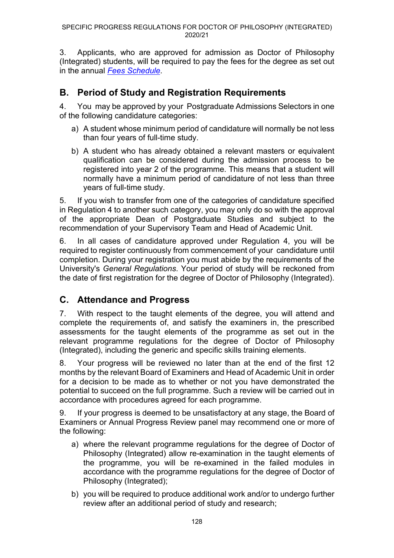3. Applicants, who are approved for admission as Doctor of Philosophy (Integrated) students, will be required to pay the fees for the degree as set out in the annual *[Fees Schedule](https://www.ncl.ac.uk/tuition-fees/costs/)*.

## **B. Period of Study and Registration Requirements**

4. You may be approved by your Postgraduate Admissions Selectors in one of the following candidature categories:

- a) A student whose minimum period of candidature will normally be not less than four years of full-time study.
- b) A student who has already obtained a relevant masters or equivalent qualification can be considered during the admission process to be registered into year 2 of the programme. This means that a student will normally have a minimum period of candidature of not less than three years of full-time study.

5. If you wish to transfer from one of the categories of candidature specified in Regulation 4 to another such category, you may only do so with the approval of the appropriate Dean of Postgraduate Studies and subject to the recommendation of your Supervisory Team and Head of Academic Unit.

6. In all cases of candidature approved under Regulation 4, you will be required to register continuously from commencement of your candidature until completion. During your registration you must abide by the requirements of the University's *General Regulations*. Your period of study will be reckoned from the date of first registration for the degree of Doctor of Philosophy (Integrated).

## **C. Attendance and Progress**

7. With respect to the taught elements of the degree, you will attend and complete the requirements of, and satisfy the examiners in, the prescribed assessments for the taught elements of the programme as set out in the relevant programme regulations for the degree of Doctor of Philosophy (Integrated), including the generic and specific skills training elements.

8. Your progress will be reviewed no later than at the end of the first 12 months by the relevant Board of Examiners and Head of Academic Unit in order for a decision to be made as to whether or not you have demonstrated the potential to succeed on the full programme. Such a review will be carried out in accordance with procedures agreed for each programme.

9. If your progress is deemed to be unsatisfactory at any stage, the Board of Examiners or Annual Progress Review panel may recommend one or more of the following:

- a) where the relevant programme regulations for the degree of Doctor of Philosophy (Integrated) allow re-examination in the taught elements of the programme, you will be re-examined in the failed modules in accordance with the programme regulations for the degree of Doctor of Philosophy (Integrated);
- b) you will be required to produce additional work and/or to undergo further review after an additional period of study and research;